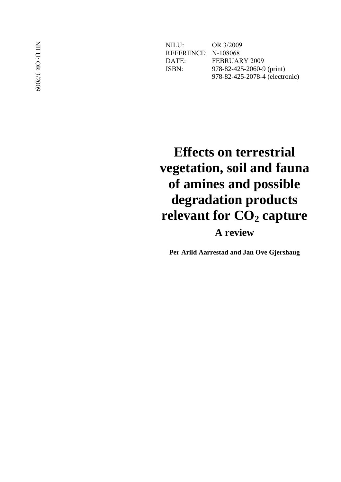NILU: OR 3/2009 REFERENCE: N -108068 DATE: FEBRUARY 2009 ISBN: -82 -425 -2060 - 9 (print) 978 -82 -425 -2078 -4 (electronic)

# **Effects on terrestrial vegetation, soil and fauna of amines and possible degradation products relevant for CO <sup>2</sup> capture**

**A review**

**Per Arild Aarrestad and Jan Ove Gjershaug**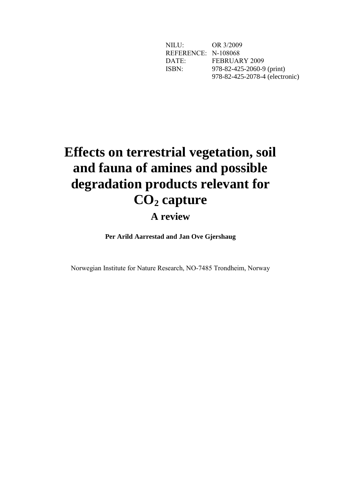NILU: OR 3/2009 REFERENCE: N-108068<br>DATE: FEBRUA FEBRUARY 2009 ISBN: 978-82-425-2060-9 (print) 978-82-425-2078-4 (electronic)

# **Effects on terrestrial vegetation, soil and fauna of amines and possible degradation products relevant for CO<sup>2</sup> capture**

# **A review**

**Per Arild Aarrestad and Jan Ove Gjershaug**

Norwegian Institute for Nature Research, NO-7485 Trondheim, Norway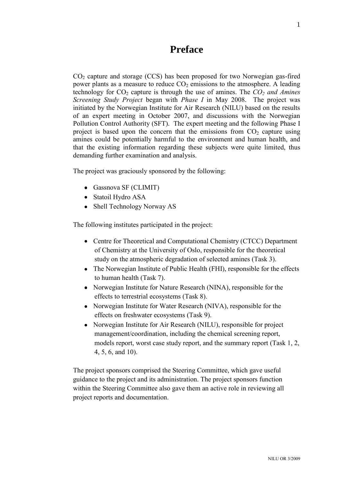# **Preface**

<span id="page-2-0"></span> $CO<sub>2</sub>$  capture and storage (CCS) has been proposed for two Norwegian gas-fired power plants as a measure to reduce  $CO<sub>2</sub>$  emissions to the atmosphere. A leading technology for  $CO_2$  capture is through the use of amines. The  $CO_2$  *and Amines Screening Study Project* began with *Phase I* in May 2008. The project was initiated by the Norwegian Institute for Air Research (NILU) based on the results of an expert meeting in October 2007, and discussions with the Norwegian Pollution Control Authority (SFT). The expert meeting and the following Phase I project is based upon the concern that the emissions from  $CO<sub>2</sub>$  capture using amines could be potentially harmful to the environment and human health, and that the existing information regarding these subjects were quite limited, thus demanding further examination and analysis.

The project was graciously sponsored by the following:

- Gassnova SF (CLIMIT)
- Statoil Hydro ASA
- Shell Technology Norway AS

The following institutes participated in the project:

- Centre for Theoretical and Computational Chemistry (CTCC) Department of Chemistry at the University of Oslo, responsible for the theoretical study on the atmospheric degradation of selected amines (Task 3).
- The Norwegian Institute of Public Health (FHI), responsible for the effects to human health (Task 7).
- Norwegian Institute for Nature Research (NINA), responsible for the effects to terrestrial ecosystems (Task 8).
- Norwegian Institute for Water Research (NIVA), responsible for the effects on freshwater ecosystems (Task 9).
- Norwegian Institute for Air Research (NILU), responsible for project management/coordination, including the chemical screening report, models report, worst case study report, and the summary report (Task 1, 2, 4, 5, 6, and 10).

The project sponsors comprised the Steering Committee, which gave useful guidance to the project and its administration. The project sponsors function within the Steering Committee also gave them an active role in reviewing all project reports and documentation.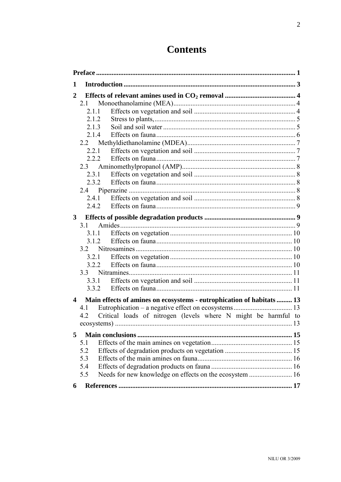# **Contents**

| 1              |                                                                       |  |  |  |  |
|----------------|-----------------------------------------------------------------------|--|--|--|--|
| $\mathbf{2}$   |                                                                       |  |  |  |  |
|                | 2.1                                                                   |  |  |  |  |
|                | 2.1.1                                                                 |  |  |  |  |
|                | 2.1.2                                                                 |  |  |  |  |
|                | 2.1.3                                                                 |  |  |  |  |
|                | 2.1.4                                                                 |  |  |  |  |
|                | 2.2                                                                   |  |  |  |  |
|                |                                                                       |  |  |  |  |
|                |                                                                       |  |  |  |  |
|                | 2.3                                                                   |  |  |  |  |
|                | 2.3.1                                                                 |  |  |  |  |
|                |                                                                       |  |  |  |  |
|                |                                                                       |  |  |  |  |
|                | 2.4.1                                                                 |  |  |  |  |
|                |                                                                       |  |  |  |  |
| 3 <sup>1</sup> |                                                                       |  |  |  |  |
|                | 31                                                                    |  |  |  |  |
|                | 3.1.1                                                                 |  |  |  |  |
|                | 3.1.2                                                                 |  |  |  |  |
|                |                                                                       |  |  |  |  |
|                | 3.2.1                                                                 |  |  |  |  |
|                | 3.2.2                                                                 |  |  |  |  |
|                |                                                                       |  |  |  |  |
|                | 3.3.1                                                                 |  |  |  |  |
|                |                                                                       |  |  |  |  |
| 4              | Main effects of amines on ecosystems - eutrophication of habitats  13 |  |  |  |  |
|                | 4.1                                                                   |  |  |  |  |
|                | Critical loads of nitrogen (levels where N might be harmful to<br>4.2 |  |  |  |  |
|                |                                                                       |  |  |  |  |
|                |                                                                       |  |  |  |  |
| 5              |                                                                       |  |  |  |  |
|                | 5.1                                                                   |  |  |  |  |
|                | 5.2                                                                   |  |  |  |  |
|                | 5.3<br>5.4                                                            |  |  |  |  |
|                | 5.5                                                                   |  |  |  |  |
|                | Needs for new knowledge on effects on the ecosystem  16               |  |  |  |  |
| 6              |                                                                       |  |  |  |  |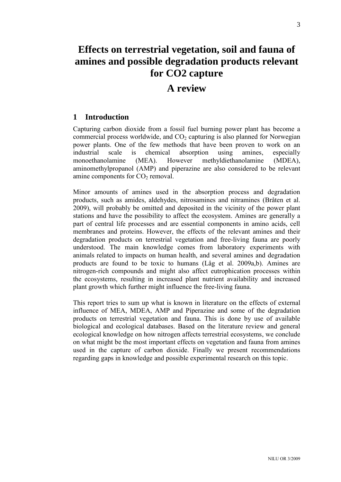# **Effects on terrestrial vegetation, soil and fauna of amines and possible degradation products relevant for CO2 capture**

# **A review**

# <span id="page-4-0"></span>**1 Introduction**

Capturing carbon dioxide from a fossil fuel burning power plant has become a commercial process worldwide, and  $CO<sub>2</sub>$  capturing is also planned for Norwegian power plants. One of the few methods that have been proven to work on an industrial scale is chemical absorption using amines, especially monoethanolamine (MEA). However methyldiethanolamine (MDEA), aminomethylpropanol (AMP) and piperazine are also considered to be relevant amine components for  $CO<sub>2</sub>$  removal.

Minor amounts of amines used in the absorption process and degradation products, such as amides, aldehydes, nitrosamines and nitramines (Bråten et al. 2009), will probably be omitted and deposited in the vicinity of the power plant stations and have the possibility to affect the ecosystem. Amines are generally a part of central life processes and are essential components in amino acids, cell membranes and proteins. However, the effects of the relevant amines and their degradation products on terrestrial vegetation and free-living fauna are poorly understood. The main knowledge comes from laboratory experiments with animals related to impacts on human health, and several amines and degradation products are found to be toxic to humans (Låg et al. 2009a,b). Amines are nitrogen-rich compounds and might also affect eutrophication processes within the ecosystems, resulting in increased plant nutrient availability and increased plant growth which further might influence the free-living fauna.

This report tries to sum up what is known in literature on the effects of external influence of MEA, MDEA, AMP and Piperazine and some of the degradation products on terrestrial vegetation and fauna. This is done by use of available biological and ecological databases. Based on the literature review and general ecological knowledge on how nitrogen affects terrestrial ecosystems, we conclude on what might be the most important effects on vegetation and fauna from amines used in the capture of carbon dioxide. Finally we present recommendations regarding gaps in knowledge and possible experimental research on this topic.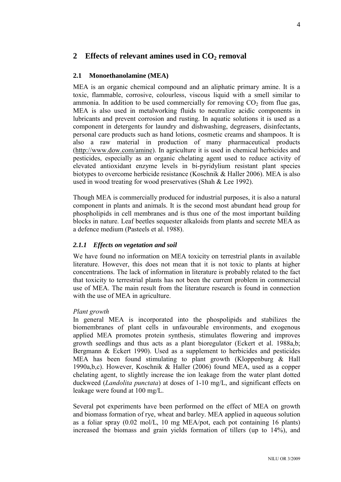# <span id="page-5-0"></span>**2 Effects of relevant amines used in CO<sup>2</sup> removal**

# <span id="page-5-1"></span>**2.1 Monoethanolamine (MEA)**

MEA is an organic chemical compound and an aliphatic primary amine. It is a toxic, flammable, corrosive, colourless, viscous liquid with a smell similar to ammonia. In addition to be used commercially for removing  $CO<sub>2</sub>$  from flue gas, MEA is also used in metalworking fluids to neutralize acidic components in lubricants and prevent corrosion and rusting. In aquatic solutions it is used as a component in detergents for laundry and dishwashing, degreasers, disinfectants, personal care products such as hand lotions, cosmetic creams and shampoos. It is also a raw material in production of many pharmaceutical products [\(http://www.dow.com/amine\)](http://www.dow.com/amine). In agriculture it is used in chemical herbicides and pesticides, especially as an organic chelating agent used to reduce activity of elevated antioxidant enzyme levels in bi-pyridylium resistant plant species biotypes to overcome herbicide resistance (Koschnik & Haller 2006). MEA is also used in wood treating for wood preservatives (Shah & Lee 1992).

Though MEA is commercially produced for industrial purposes, it is also a natural component in plants and animals. It is the second most abundant head group for phospholipids in cell membranes and is thus one of the most important building blocks in nature. Leaf beetles sequester alkaloids from plants and secrete MEA as a defence medium (Pasteels et al. 1988).

# <span id="page-5-2"></span>*2.1.1 Effects on vegetation and soil*

We have found no information on MEA toxicity on terrestrial plants in available literature. However, this does not mean that it is not toxic to plants at higher concentrations. The lack of information in literature is probably related to the fact that toxicity to terrestrial plants has not been the current problem in commercial use of MEA. The main result from the literature research is found in connection with the use of MEA in agriculture.

# *Plant growth*

In general MEA is incorporated into the phospolipids and stabilizes the biomembranes of plant cells in unfavourable environments, and exogenous applied MEA promotes protein synthesis, stimulates flowering and improves growth seedlings and thus acts as a plant bioregulator (Eckert et al. 1988a,b; Bergmann & Eckert 1990). Used as a supplement to herbicides and pesticides MEA has been found stimulating to plant growth (Kloppenburg & Hall 1990a,b,c). However, Koschnik & Haller (2006) found MEA, used as a copper chelating agent, to slightly increase the ion leakage from the water plant dotted duckweed (*Landolita punctata*) at doses of 1-10 mg/L, and significant effects on leakage were found at 100 mg/L.

Several pot experiments have been performed on the effect of MEA on growth and biomass formation of rye, wheat and barley. MEA applied in aqueous solution as a foliar spray (0.02 mol/L, 10 mg MEA/pot, each pot containing 16 plants) increased the biomass and grain yields formation of tillers (up to 14%), and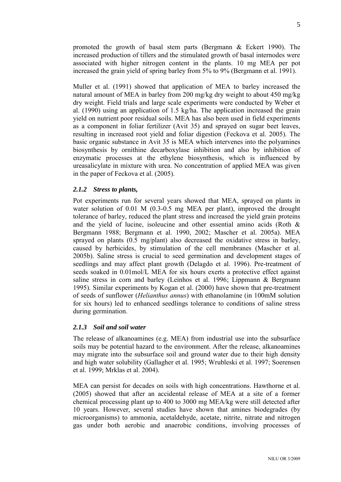promoted the growth of basal stem parts (Bergmann & Eckert 1990). The increased production of tillers and the stimulated growth of basal internodes were associated with higher nitrogen content in the plants. 10 mg MEA per pot increased the grain yield of spring barley from 5% to 9% (Bergmann et al. 1991).

Muller et al. (1991) showed that application of MEA to barley increased the natural amount of MEA in barley from 200 mg/kg dry weight to about 450 mg/kg dry weight. Field trials and large scale experiments were conducted by Weber et al. (1990) using an application of 1.5 kg/ha. The application increased the grain yield on nutrient poor residual soils. MEA has also been used in field experiments as a component in foliar fertilizer (Avit 35) and sprayed on sugar beet leaves, resulting in increased root yield and foliar digestion (Feckova et al. 2005). The basic organic substance in Avit 35 is MEA which intervenes into the polyamines biosynthesis by ornithine decarboxylase inhibition and also by inhibition of enzymatic processes at the ethylene biosynthesis, which is influenced by ureasalicylate in mixture with urea. No concentration of applied MEA was given in the paper of Feckova et al. (2005).

# <span id="page-6-0"></span>*2.1.2 Stress to plants,*

Pot experiments run for several years showed that MEA, sprayed on plants in water solution of 0.01 M (0.3-0.5 mg MEA per plant), improved the drought tolerance of barley, reduced the plant stress and increased the yield grain proteins and the yield of lucine, isoleucine and other essential amino acids (Roth & Bergmann 1988; Bergmann et al. 1990, 2002; Mascher et al. 2005a). MEA sprayed on plants (0.5 mg/plant) also decreased the oxidative stress in barley, caused by herbicides, by stimulation of the cell membranes (Mascher et al. 2005b). Saline stress is crucial to seed germination and development stages of seedlings and may affect plant growth (Delagdo et al. 1996). Pre-treatment of seeds soaked in 0.01mol/L MEA for six hours exerts a protective effect against saline stress in corn and barley (Leinhos et al. 1996; Lippmann & Bergmann 1995). Similar experiments by Kogan et al. (2000) have shown that pre-treatment of seeds of sunflower (*Helianthus annus*) with ethanolamine (in 100mM solution for six hours) led to enhanced seedlings tolerance to conditions of saline stress during germination.

# <span id="page-6-1"></span>*2.1.3 Soil and soil water*

The release of alkanoamines (e.g. MEA) from industrial use into the subsurface soils may be potential hazard to the environment. After the release, alkanoamines may migrate into the subsurface soil and ground water due to their high density and high water solubility (Gallagher et al. 1995; Wrubleski et al. 1997; Soerensen et al. 1999; Mrklas et al. 2004).

MEA can persist for decades on soils with high concentrations. Hawthorne et al. (2005) showed that after an accidental release of MEA at a site of a former chemical processing plant up to 400 to 3000 mg MEA/kg were still detected after 10 years. However, several studies have shown that amines biodegrades (by microorganisms) to ammonia, acetaldehyde, acetate, nitrite, nitrate and nitrogen gas under both aerobic and anaerobic conditions, involving processes of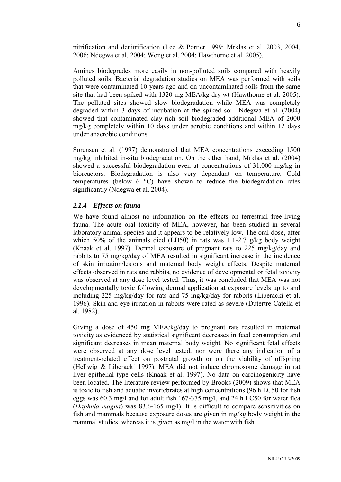nitrification and denitrification (Lee & Portier 1999; Mrklas et al. 2003, 2004, 2006; Ndegwa et al. 2004; Wong et al. 2004; Hawthorne et al. 2005).

Amines biodegrades more easily in non-polluted soils compared with heavily polluted soils. Bacterial degradation studies on MEA was performed with soils that were contaminated 10 years ago and on uncontaminated soils from the same site that had been spiked with 1320 mg MEA/kg dry wt (Hawthorne et al. 2005). The polluted sites showed slow biodegradation while MEA was completely degraded within 3 days of incubation at the spiked soil. Ndegwa et al. (2004) showed that contaminated clay-rich soil biodegraded additional MEA of 2000 mg/kg completely within 10 days under aerobic conditions and within 12 days under anaerobic conditions.

Sorensen et al. (1997) demonstrated that MEA concentrations exceeding 1500 mg/kg inhibited in-situ biodegradation. On the other hand, Mrklas et al. (2004) showed a successful biodegradation even at concentrations of 31.000 mg/kg in bioreactors. Biodegradation is also very dependant on temperature. Cold temperatures (below 6 °C) have shown to reduce the biodegradation rates significantly (Ndegwa et al. 2004).

#### <span id="page-7-0"></span>*2.1.4 Effects on fauna*

We have found almost no information on the effects on terrestrial free-living fauna. The acute oral toxicity of MEA, however, has been studied in several laboratory animal species and it appears to be relatively low. The oral dose, after which 50% of the animals died (LD50) in rats was 1.1-2.7 g/kg body weight (Knaak et al. 1997). Dermal exposure of pregnant rats to 225 mg/kg/day and rabbits to 75 mg/kg/day of MEA resulted in significant increase in the incidence of skin irritation/lesions and maternal body weight effects. Despite maternal effects observed in rats and rabbits, no evidence of developmental or fetal toxicity was observed at any dose level tested. Thus, it was concluded that MEA was not developmentally toxic following dermal application at exposure levels up to and including 225 mg/kg/day for rats and 75 mg/kg/day for rabbits (Liberacki et al. 1996). Skin and eye irritation in rabbits were rated as severe (Dutertre-Catella et al. 1982).

Giving a dose of 450 mg MEA/kg/day to pregnant rats resulted in maternal toxicity as evidenced by statistical significant decreases in feed consumption and significant decreases in mean maternal body weight. No significant fetal effects were observed at any dose level tested, nor were there any indication of a treatment-related effect on postnatal growth or on the viability of offspring (Hellwig & Liberacki 1997). MEA did not induce chromosome damage in rat liver epithelial type cells (Knaak et al. 1997). No data on carcinogenicity have been located. The literature review performed by Brooks (2009) shows that MEA is toxic to fish and aquatic invertebrates at high concentrations (96 h LC50 for fish eggs was 60.3 mg/l and for adult fish 167-375 mg/l, and 24 h LC50 for water flea (*Daphnia magna*) was 83.6-165 mg/l). It is difficult to compare sensitivities on fish and mammals because exposure doses are given in mg/kg body weight in the mammal studies, whereas it is given as mg/l in the water with fish.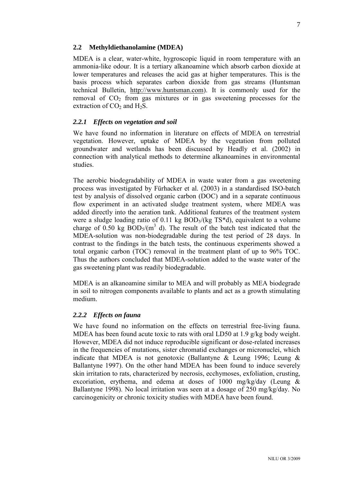#### <span id="page-8-0"></span>**2.2 Methyldiethanolamine (MDEA)**

MDEA is a clear, water-white, hygroscopic liquid in room temperature with an ammonia-like odour. It is a tertiary alkanoamine which absorb carbon dioxide at lower temperatures and releases the acid gas at higher temperatures. This is the basis process which separates carbon dioxide from gas streams (Huntsman technical Bulletin, [http://www.huntsman.com\)](http://www.huntsman.com/). It is commonly used for the removal of  $CO<sub>2</sub>$  from gas mixtures or in gas sweetening processes for the extraction of  $CO<sub>2</sub>$  and H<sub>2</sub>S.

# <span id="page-8-1"></span>*2.2.1 Effects on vegetation and soil*

We have found no information in literature on effects of MDEA on terrestrial vegetation. However, uptake of MDEA by the vegetation from polluted groundwater and wetlands has been discussed by Headly et al. (2002) in connection with analytical methods to determine alkanoamines in environmental studies.

The aerobic biodegradability of MDEA in waste water from a gas sweetening process was investigated by Fürhacker et al. (2003) in a standardised ISO-batch test by analysis of dissolved organic carbon (DOC) and in a separate continuous flow experiment in an activated sludge treatment system, where MDEA was added directly into the aeration tank. Additional features of the treatment system were a sludge loading ratio of 0.11 kg  $BOD<sub>5</sub>/(kg TS<sup>*</sup>d)$ , equivalent to a volume charge of  $0.50$  kg  $BOD<sub>5</sub>/(m<sup>3</sup>)$  d). The result of the batch test indicated that the MDEA-solution was non-biodegradable during the test period of 28 days. In contrast to the findings in the batch tests, the continuous experiments showed a total organic carbon (TOC) removal in the treatment plant of up to 96% TOC. Thus the authors concluded that MDEA-solution added to the waste water of the gas sweetening plant was readily biodegradable.

MDEA is an alkanoamine similar to MEA and will probably as MEA biodegrade in soil to nitrogen components available to plants and act as a growth stimulating medium.

# <span id="page-8-2"></span>*2.2.2 Effects on fauna*

We have found no information on the effects on terrestrial free-living fauna. MDEA has been found acute toxic to rats with oral LD50 at 1.9 g/kg body weight. However, MDEA did not induce reproducible significant or dose-related increases in the frequencies of mutations, sister chromatid exchanges or micronuclei, which indicate that MDEA is not genotoxic (Ballantyne & Leung 1996; Leung & Ballantyne 1997). On the other hand MDEA has been found to induce severely skin irritation to rats, characterized by necrosis, ecchymoses, exfoliation, crusting, excoriation, erythema, and edema at doses of 1000 mg/kg/day (Leung & Ballantyne 1998). No local irritation was seen at a dosage of 250 mg/kg/day. No carcinogenicity or chronic toxicity studies with MDEA have been found.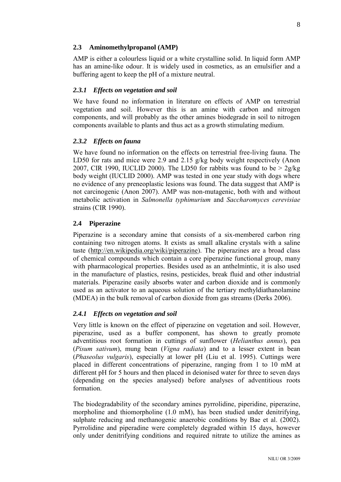#### <span id="page-9-0"></span>**2.3 Aminomethylpropanol (AMP)**

AMP is either a colourless liquid or a white crystalline solid. In liquid form AMP has an amine-like odour. It is widely used in cosmetics, as an emulsifier and a buffering agent to keep the pH of a mixture neutral.

#### <span id="page-9-1"></span>*2.3.1 Effects on vegetation and soil*

We have found no information in literature on effects of AMP on terrestrial vegetation and soil. However this is an amine with carbon and nitrogen components, and will probably as the other amines biodegrade in soil to nitrogen components available to plants and thus act as a growth stimulating medium.

#### <span id="page-9-2"></span>*2.3.2 Effects on fauna*

We have found no information on the effects on terrestrial free-living fauna. The LD50 for rats and mice were 2.9 and 2.15 g/kg body weight respectively (Anon 2007, CIR 1990, IUCLID 2000). The LD50 for rabbits was found to be  $> 2g/kg$ body weight (IUCLID 2000). AMP was tested in one year study with dogs where no evidence of any preneoplastic lesions was found. The data suggest that AMP is not carcinogenic (Anon 2007). AMP was non-mutagenic, both with and without metabolic activation in *Salmonella typhimurium* and *Saccharomyces cerevisiae* strains (CIR 1990).

#### <span id="page-9-3"></span>**2.4 Piperazine**

Piperazine is a secondary amine that consists of a six-membered carbon ring containing two nitrogen atoms. It exists as small alkaline crystals with a saline taste [\(http://en.wikipedia.org/wiki/piperazine\)](http://en.wikipedia.org/wiki/piperazine). The piperazines are a broad class of chemical compounds which contain a core piperazine functional group, many with pharmacological properties. Besides used as an anthelmintic, it is also used in the manufacture of plastics, resins, pesticides, break fluid and other industrial materials. Piperazine easily absorbs water and carbon dioxide and is commonly used as an activator to an aqueous solution of the tertiary methyldiathanolamine (MDEA) in the bulk removal of carbon dioxide from gas streams (Derks 2006).

#### <span id="page-9-4"></span>*2.4.1 Effects on vegetation and soil*

Very little is known on the effect of piperazine on vegetation and soil. However, piperazine, used as a buffer component, has shown to greatly promote adventitious root formation in cuttings of sunflower (*Helianthus annus*), pea (*Pisum sativum*), mung bean (*Vigna radiata*) and to a lesser extent in bean (*Phaseolus vulgaris*), especially at lower pH (Liu et al. 1995). Cuttings were placed in different concentrations of piperazine, ranging from 1 to 10 mM at different pH for 5 hours and then placed in deionised water for three to seven days (depending on the species analysed) before analyses of adventitious roots formation.

The biodegradability of the secondary amines pyrrolidine, piperidine, piperazine, morpholine and thiomorpholine (1.0 mM), has been studied under denitrifying, sulphate reducing and methanogenic anaerobic conditions by Bae et al. (2002). Pyrrolidine and piperadine were completely degraded within 15 days, however only under denitrifying conditions and required nitrate to utilize the amines as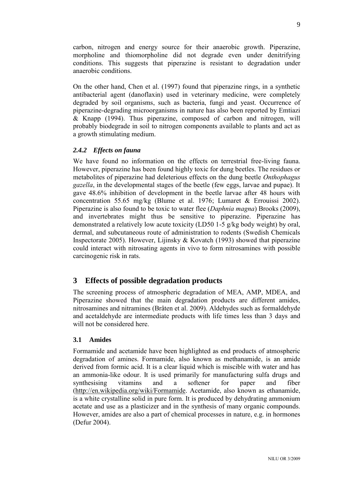carbon, nitrogen and energy source for their anaerobic growth. Piperazine, morpholine and thiomorpholine did not degrade even under denitrifying conditions. This suggests that piperazine is resistant to degradation under anaerobic conditions.

On the other hand, Chen et al. (1997) found that piperazine rings, in a synthetic antibacterial agent (danoflaxin) used in veterinary medicine, were completely degraded by soil organisms, such as bacteria, fungi and yeast. Occurrence of piperazine-degrading microorganisms in nature has also been reported by Emtiazi & Knapp (1994). Thus piperazine, composed of carbon and nitrogen, will probably biodegrade in soil to nitrogen components available to plants and act as a growth stimulating medium.

# <span id="page-10-0"></span>*2.4.2 Effects on fauna*

We have found no information on the effects on terrestrial free-living fauna. However, piperazine has been found highly toxic for dung beetles. The residues or metabolites of piperazine had deleterious effects on the dung beetle *Onthophagus gazella*, in the developmental stages of the beetle (few eggs, larvae and pupae). It gave 48.6% inhibition of development in the beetle larvae after 48 hours with concentration 55.65 mg/kg (Blume et al. 1976; Lumaret & Errouissi 2002). Piperazine is also found to be toxic to water flee (*Daphnia magna*) Brooks (2009), and invertebrates might thus be sensitive to piperazine. Piperazine has demonstrated a relatively low acute toxicity (LD50 1-5 g/kg body weight) by oral, dermal, and subcutaneous route of administration to rodents (Swedish Chemicals Inspectorate 2005). However, Lijinsky & Kovatch (1993) showed that piperazine could interact with nitrosating agents in vivo to form nitrosamines with possible carcinogenic risk in rats.

# <span id="page-10-1"></span>**3 Effects of possible degradation products**

The screening process of atmospheric degradation of MEA, AMP, MDEA, and Piperazine showed that the main degradation products are different amides, nitrosamines and nitramines (Bråten et al. 2009). Aldehydes such as formaldehyde and acetaldehyde are intermediate products with life times less than 3 days and will not be considered here.

# <span id="page-10-2"></span>**3.1 Amides**

Formamide and acetamide have been highlighted as end products of atmospheric degradation of amines. Formamide, also known as methanamide, is an amide derived from formic acid. It is a clear liquid which is miscible with water and has an ammonia-like odour. It is used primarily for manufacturing sulfa drugs and synthesising vitamins and a softener for paper and fiber [\(http://en.wikipedia.org/wiki/Formamide.](http://en.wikipedia.org/wiki/Formamide) Acetamide, also known as ethanamide, is a white crystalline solid in pure form. It is produced by dehydrating ammonium acetate and use as a plasticizer and in the synthesis of many organic compounds. However, amides are also a part of chemical processes in nature, e.g. in hormones (Defur 2004).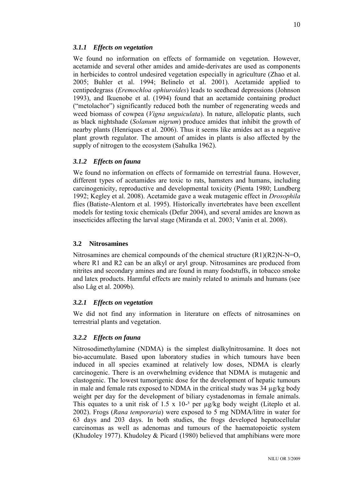#### <span id="page-11-0"></span>*3.1.1 Effects on vegetation*

We found no information on effects of formamide on vegetation. However, acetamide and several other amides and amide-derivates are used as components in herbicides to control undesired vegetation especially in agriculture (Zhao et al. 2005; Buhler et al. 1994; Belinelo et al. 2001). Acetamide applied to centipedegrass (*Eremochloa ophiuroides*) leads to seedhead depressions (Johnson 1993), and Ikuenobe et al. (1994) found that an acetamide containing product ("metolachor") significantly reduced both the number of regenerating weeds and weed biomass of cowpea (*Vigna unguiculata*). In nature, allelopatic plants, such as black nightshade (*Solanum nigrum*) produce amides that inhibit the growth of nearby plants (Henriques et al. 2006). Thus it seems like amides act as a negative plant growth regulator. The amount of amides in plants is also affected by the supply of nitrogen to the ecosystem (Sahulka 1962).

#### <span id="page-11-1"></span>*3.1.2 Effects on fauna*

We found no information on effects of formamide on terrestrial fauna. However, different types of acetamides are toxic to rats, hamsters and humans, including carcinogenicity, reproductive and developmental toxicity (Pienta 1980; Lundberg 1992; Kegley et al. 2008). Acetamide gave a weak mutagenic effect in *Drosophila* flies (Batiste-Alentorn et al. 1995). Historically invertebrates have been excellent models for testing toxic chemicals (Defur 2004), and several amides are known as insecticides affecting the larval stage (Miranda et al. 2003; Vanin et al. 2008).

#### <span id="page-11-2"></span>**3.2 Nitrosamines**

Nitrosamines are chemical compounds of the chemical structure  $(R1)(R2)N-N=O$ , where R1 and R2 can be an alkyl or aryl group. Nitrosamines are produced from nitrites and secondary amines and are found in many foodstuffs, in tobacco smoke and latex products. Harmful effects are mainly related to animals and humans (see also Låg et al. 2009b).

#### <span id="page-11-3"></span>*3.2.1 Effects on vegetation*

We did not find any information in literature on effects of nitrosamines on terrestrial plants and vegetation.

# <span id="page-11-4"></span>*3.2.2 Effects on fauna*

Nitrosodimethylamine (NDMA) is the simplest dialkylnitrosamine. It does not bio-accumulate. Based upon laboratory studies in which tumours have been induced in all species examined at relatively low doses, NDMA is clearly carcinogenic. There is an overwhelming evidence that NDMA is mutagenic and clastogenic. The lowest tumorigenic dose for the development of hepatic tumours in male and female rats exposed to NDMA in the critical study was 34 µg/kg body weight per day for the development of biliary cystadenomas in female animals. This equates to a unit risk of  $1.5 \times 10^{-3}$  per  $\mu$ g/kg body weight (Liteplo et al. 2002). Frogs (*Rana temporaria*) were exposed to 5 mg NDMA/litre in water for 63 days and 203 days. In both studies, the frogs developed hepatocellular carcinomas as well as adenomas and tumours of the haematopoietic system (Khudoley 1977). Khudoley & Picard (1980) believed that amphibians were more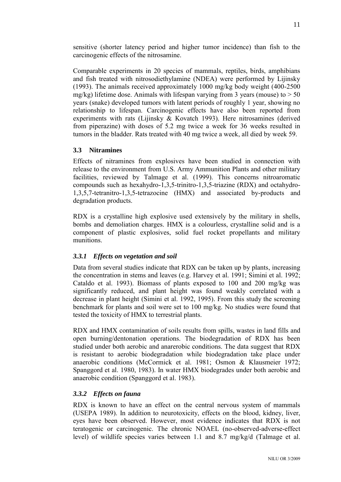sensitive (shorter latency period and higher tumor incidence) than fish to the carcinogenic effects of the nitrosamine.

Comparable experiments in 20 species of mammals, reptiles, birds, amphibians and fish treated with nitrosodiethylamine (NDEA) were performed by Lijinsky (1993). The animals received approximately 1000 mg/kg body weight (400-2500 mg/kg) lifetime dose. Animals with lifespan varying from 3 years (mouse) to  $> 50$ years (snake) developed tumors with latent periods of roughly 1 year, showing no relationship to lifespan. Carcinogenic effects have also been reported from experiments with rats (Lijinsky & Kovatch 1993). Here nitrosamines (derived from piperazine) with doses of 5.2 mg twice a week for 36 weeks resulted in tumors in the bladder. Rats treated with 40 mg twice a week, all died by week 59.

# <span id="page-12-0"></span>**3.3 Nitramines**

Effects of nitramines from explosives have been studied in connection with release to the environment from U.S. Army Ammunition Plants and other military facilities, reviewed by Talmage et al. (1999). This concerns nitroaromatic compounds such as hexahydro-1,3,5-trinitro-1,3,5-triazine (RDX) and octahydro-1,3,5,7-tetranitro-1,3,5-tetrazocine (HMX) and associated by-products and degradation products.

RDX is a crystalline high explosive used extensively by the military in shells, bombs and demoliation charges. HMX is a colourless, crystalline solid and is a component of plastic explosives, solid fuel rocket propellants and military munitions.

# <span id="page-12-1"></span>*3.3.1 Effects on vegetation and soil*

Data from several studies indicate that RDX can be taken up by plants, increasing the concentration in stems and leaves (e.g. Harvey et al. 1991; Simini et al. 1992; Cataldo et al. 1993). Biomass of plants exposed to 100 and 200 mg/kg was significantly reduced, and plant height was found weakly correlated with a decrease in plant height (Simini et al. 1992, 1995). From this study the screening benchmark for plants and soil were set to 100 mg/kg. No studies were found that tested the toxicity of HMX to terrestrial plants.

RDX and HMX contamination of soils results from spills, wastes in land fills and open burning/dentonation operations. The biodegradation of RDX has been studied under both aerobic and anarerobic conditions. The data suggest that RDX is resistant to aerobic biodegradation while biodegradation take place under anaerobic conditions (McCormick et al. 1981; Osmon & Klausmeier 1972; Spanggord et al. 1980, 1983). In water HMX biodegrades under both aerobic and anaerobic condition (Spanggord et al. 1983).

# <span id="page-12-2"></span>*3.3.2 Effects on fauna*

RDX is known to have an effect on the central nervous system of mammals (USEPA 1989). In addition to neurotoxicity, effects on the blood, kidney, liver, eyes have been observed. However, most evidence indicates that RDX is not teratogenic or carcinogenic. The chronic NOAEL (no-observed-adverse-effect level) of wildlife species varies between 1.1 and 8.7 mg/kg/d (Talmage et al.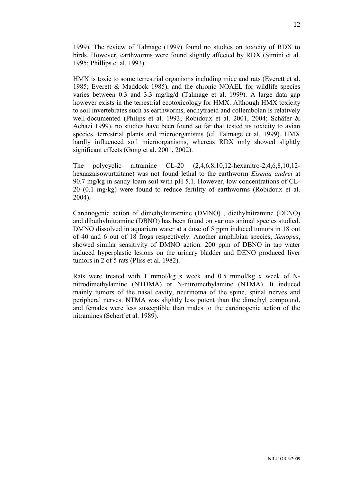1999). The review of Talmage (1999) found no studies on toxicity of RDX to birds. However, earthworms were found slightly affected by RDX (Simini et al. 1995; Phillips et al. 1993).

HMX is toxic to some terrestrial organisms including mice and rats (Everett et al. 1985; Everett & Maddock 1985), and the chronic NOAEL for wildlife species varies between 0.3 and 3.3 mg/kg/d (Talmage et al. 1999). A large data gap however exists in the terrestrial ecotoxicology for HMX. Although HMX toxicity to soil invertebrates such as earthworms, enchytraeid and collembolan is relatively well-documented (Philips et al. 1993; Robidoux et al. 2001, 2004; Schäfer & Achazi 1999), no studies have been found so far that tested its toxicity to avian species, terrestrial plants and microorganisms (cf. Talmage et al. 1999). HMX hardly influenced soil microorganisms, whereas RDX only showed slightly significant effects (Gong et al. 2001, 2002).

The polycyclic nitramine CL-20 (2,4,6,8,10,12-hexanitro-2,4,6,8,10,12 hexaazaisowurtzitane) was not found lethal to the earthworm *Eisenia andrei* at 90.7 mg/kg in sandy loam soil with pH 5.1. However, low concentrations of CL-20 (0.1 mg/kg) were found to reduce fertility of earthworms (Robidoux et al. 2004).

Carcinogenic action of dimethylnitramine (DMNO) , diethylnitramine (DENO) and dibuthylnitramine (DBNO) has been found on various animal species studied. DMNO dissolved in aquarium water at a dose of 5 ppm induced tumors in 18 out of 40 and 6 out of 18 frogs respectively. Another amphibian species, *Xenopus*, showed similar sensitivity of DMNO action. 200 ppm of DBNO in tap water induced hyperplastic lesions on the urinary bladder and DENO produced liver tumors in 2 of 5 rats (Pliss et al. 1982).

Rats were treated with 1 mmol/kg x week and 0.5 mmol/kg x week of Nnitrodimethylamine (NTDMA) or N-nitromethylamine (NTMA). It induced mainly tumors of the nasal cavity, neurinoma of the spine, spinal nerves and peripheral nerves. NTMA was slightly less potent than the dimethyl compound, and females were less susceptible than males to the carcinogenic action of the nitramines (Scherf et al. 1989).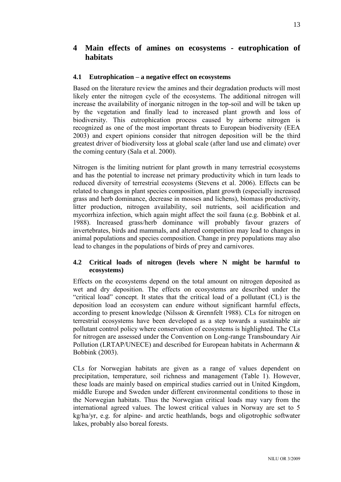# <span id="page-14-0"></span>**4 Main effects of amines on ecosystems - eutrophication of habitats**

# <span id="page-14-1"></span>**4.1 Eutrophication – a negative effect on ecosystems**

Based on the literature review the amines and their degradation products will most likely enter the nitrogen cycle of the ecosystems. The additional nitrogen will increase the availability of inorganic nitrogen in the top-soil and will be taken up by the vegetation and finally lead to increased plant growth and loss of biodiversity. This eutrophication process caused by airborne nitrogen is recognized as one of the most important threats to European biodiversity (EEA 2003) and expert opinions consider that nitrogen deposition will be the third greatest driver of biodiversity loss at global scale (after land use and climate) over the coming century (Sala et al. 2000).

Nitrogen is the limiting nutrient for plant growth in many terrestrial ecosystems and has the potential to increase net primary productivity which in turn leads to reduced diversity of terrestrial ecosystems (Stevens et al. 2006). Effects can be related to changes in plant species composition, plant growth (especially increased grass and herb dominance, decrease in mosses and lichens), biomass productivity, litter production, nitrogen availability, soil nutrients, soil acidification and mycorrhiza infection, which again might affect the soil fauna (e.g. Bobbink et al. 1988). Increased grass/herb dominance will probably favour grazers of invertebrates, birds and mammals, and altered competition may lead to changes in animal populations and species composition. Change in prey populations may also lead to changes in the populations of birds of prey and carnivores.

# <span id="page-14-2"></span>**4.2 Critical loads of nitrogen (levels where N might be harmful to ecosystems)**

Effects on the ecosystems depend on the total amount on nitrogen deposited as wet and dry deposition. The effects on ecosystems are described under the "critical load" concept. It states that the critical load of a pollutant (CL) is the deposition load an ecosystem can endure without significant harmful effects, according to present knowledge (Nilsson & Grennfelt 1988). CLs for nitrogen on terrestrial ecosystems have been developed as a step towards a sustainable air pollutant control policy where conservation of ecosystems is highlighted. The CLs for nitrogen are assessed under the Convention on Long-range Transboundary Air Pollution (LRTAP/UNECE) and described for European habitats in Achermann & Bobbink (2003).

CLs for Norwegian habitats are given as a range of values dependent on precipitation, temperature, soil richness and management (Table 1). However, these loads are mainly based on empirical studies carried out in United Kingdom, middle Europe and Sweden under different environmental conditions to those in the Norwegian habitats. Thus the Norwegian critical loads may vary from the international agreed values. The lowest critical values in Norway are set to 5 kg/ha/yr, e.g. for alpine- and arctic heathlands, bogs and oligotrophic softwater lakes, probably also boreal forests.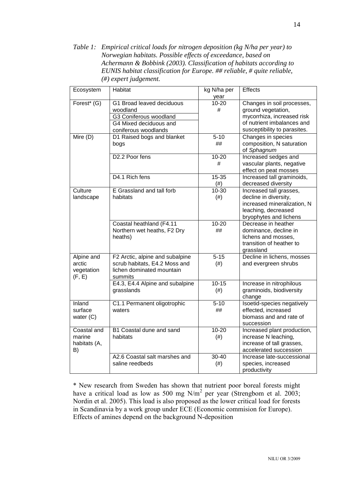*Table 1: Empirical critical loads for nitrogen deposition (kg N/ha per year) to Norwegian habitats. Possible effects of exceedance, based on Achermann & Bobbink (2003). Classification of habitats according to EUNIS habitat classification for Europe. ## reliable, # quite reliable, (#) expert judgement.*

| Ecosystem                                    | Habitat                                                                                                           | kg N/ha per<br>year | <b>Effects</b>                                                                                                                               |  |
|----------------------------------------------|-------------------------------------------------------------------------------------------------------------------|---------------------|----------------------------------------------------------------------------------------------------------------------------------------------|--|
| Forest* (G)                                  | G1 Broad leaved deciduous<br>woodland<br>G3 Coniferous woodland<br>G4 Mixed deciduous and<br>coniferous woodlands | $10 - 20$<br>#      | Changes in soil processes,<br>ground vegetation,<br>mycorrhiza, increased risk<br>of nutrient imbalances and<br>susceptibility to parasites. |  |
| Mire (D)                                     | D1 Raised bogs and blanket<br>bogs                                                                                | $5 - 10$<br>##      | Changes in species<br>composition, N saturation<br>of Sphagnum                                                                               |  |
|                                              | D <sub>2.2</sub> Poor fens                                                                                        | $10 - 20$<br>#      | Increased sedges and<br>vascular plants, negative<br>effect on peat mosses                                                                   |  |
|                                              | D4.1 Rich fens                                                                                                    | 15-35<br>(# )       | Increased tall graminoids,<br>decreased diversity                                                                                            |  |
| Culture<br>landscape                         | E Grassland and tall forb<br>habitats                                                                             | 10-30<br>$(\#)$     | Increased tall grasses,<br>decline in diversity,<br>increased mineralization, N<br>leaching, decreased<br>bryophytes and lichens             |  |
|                                              | Coastal heathland (F4.11<br>Northern wet heaths, F2 Dry<br>heaths)                                                | $10 - 20$<br>##     | Decrease in heather<br>dominance, decline in<br>lichens and mosses,<br>transition of heather to<br>grassland                                 |  |
| Alpine and<br>arctic<br>vegetation<br>(F, E) | F2 Arctic, alpine and subalpine<br>scrub habitats, E4.2 Moss and<br>lichen dominated mountain<br>summits          | $5 - 15$<br>(# )    | Decline in lichens, mosses<br>and evergreen shrubs                                                                                           |  |
|                                              | E4.3, E4.4 Alpine and subalpine<br>grasslands                                                                     | $10 - 15$<br>$(\#)$ | Increase in nitrophilous<br>graminoids, biodiversity<br>change                                                                               |  |
| Inland<br>surface<br>water $(C)$             | C1.1 Permanent oligotrophic<br>waters                                                                             | $5 - 10$<br>##      | Isoetid-species negatively<br>effected, increased<br>biomass and and rate of<br>succession                                                   |  |
| Coastal and<br>marine<br>habitats (A,<br>B)  | B1 Coastal dune and sand<br>habitats                                                                              | $10 - 20$<br>$(\#)$ | Increased plant production,<br>increase N leaching,<br>increase of tall grasses,<br>accelerated succession                                   |  |
|                                              | A2.6 Coastal salt marshes and<br>saline reedbeds                                                                  | $30 - 40$<br>$(\#)$ | Increase late-successional<br>species, increased<br>productivity                                                                             |  |

\* New research from Sweden has shown that nutrient poor boreal forests might have a critical load as low as 500 mg N/m<sup>2</sup> per year (Strengbom et al. 2003; Nordin et al. 2005). This load is also proposed as the lower critical load for forests in Scandinavia by a work group under ECE (Economic commision for Europe). Effects of amines depend on the background N-deposition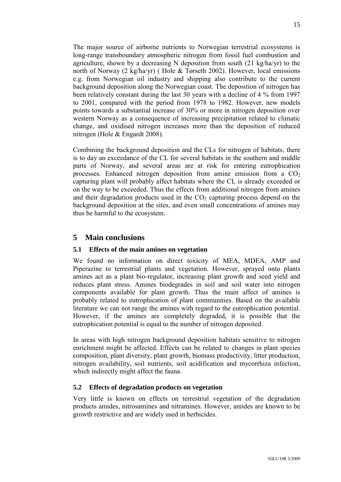The major source of airborne nutrients to Norwegian terrestrial ecosystems is long-range transboundary atmospheric nitrogen from fossil fuel combustion and agriculture, shown by a decreasing N deposition from south (21 kg/ha/yr) to the north of Norway (2 kg/ha/yr) ( Hole & Tørseth 2002). However, local emissions e.g. from Norwegian oil industry and shipping also contribute to the current background deposition along the Norwegian coast. The deposition of nitrogen has been relatively constant during the last 30 years with a decline of 4 % from 1997 to 2001, compared with the period from 1978 to 1982. However, new models points towards a substantial increase of 30% or more in nitrogen deposition over western Norway as a consequence of increasing precipitation related to climatic change, and oxidised nitrogen increases more than the deposition of reduced nitrogen (Hole & Engardt 2008).

Combining the background deposition and the CLs for nitrogen of habitats, there is to day an exceedance of the CL for several habitats in the southern and middle parts of Norway, and several areas are at risk for entering eutrophication processes. Enhanced nitrogen deposition from amine emission from a  $CO<sub>2</sub>$ capturing plant will probably affect habitats where the CL is already exceeded or on the way to be exceeded. Thus the effects from additional nitrogen from amines and their degradation products used in the  $CO<sub>2</sub>$  capturing process depend on the background deposition at the sites, and even small concentrations of amines may thus be harmful to the ecosystem.

# <span id="page-16-0"></span>**5 Main conclusions**

# <span id="page-16-1"></span>**5.1 Effects of the main amines on vegetation**

We found no information on direct toxicity of MEA, MDEA, AMP and Piperazine to terrestrial plants and vegetation. However, sprayed onto plants amines act as a plant bio-regulator, increasing plant growth and seed yield and reduces plant stress. Amines biodegrades in soil and soil water into nitrogen components available for plant growth. Thus the main affect of amines is probably related to eutrophication of plant communities. Based on the available literature we can not range the amines with regard to the eutrophication potential. However, if the amines are completely degraded, it is possible that the eutrophication potential is equal to the number of nitrogen deposited.

In areas with high nitrogen background deposition habitats sensitive to nitrogen enrichment might be affected. Effects can be related to changes in plant species composition, plant diversity, plant growth, biomass productivity, litter production, nitrogen availability, soil nutrients, soil acidification and mycorrhiza infection, which indirectly might affect the fauna.

# <span id="page-16-2"></span>**5.2 Effects of degradation products on vegetation**

Very little is known on effects on terrestrial vegetation of the degradation products amides, nitrosamines and nitramines. However, amides are known to be growth restrictive and are widely used in herbicides.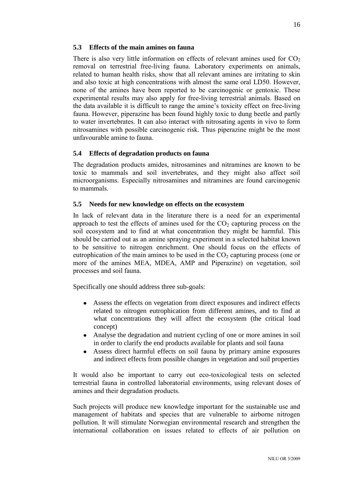#### <span id="page-17-0"></span>**5.3 Effects of the main amines on fauna**

There is also very little information on effects of relevant amines used for  $CO<sub>2</sub>$ removal on terrestrial free-living fauna. Laboratory experiments on animals, related to human health risks, show that all relevant amines are irritating to skin and also toxic at high concentrations with almost the same oral LD50. However, none of the amines have been reported to be carcinogenic or gentoxic. These experimental results may also apply for free-living terrestrial animals. Based on the data available it is difficult to range the amine's toxicity effect on free-living fauna. However, piperazine has been found highly toxic to dung beetle and partly to water invertebrates. It can also interact with nitrosating agents in vivo to form nitrosamines with possible carcinogenic risk. Thus piperazine might be the most unfavourable amine to fauna.

# <span id="page-17-1"></span>**5.4 Effects of degradation products on fauna**

The degradation products amides, nitrosamines and nitramines are known to be toxic to mammals and soil invertebrates, and they might also affect soil microorganisms. Especially nitrosamines and nitramines are found carcinogenic to mammals.

#### <span id="page-17-2"></span>**5.5 Needs for new knowledge on effects on the ecosystem**

In lack of relevant data in the literature there is a need for an experimental approach to test the effects of amines used for the  $CO<sub>2</sub>$  capturing process on the soil ecosystem and to find at what concentration they might be harmful. This should be carried out as an amine spraying experiment in a selected habitat known to be sensitive to nitrogen enrichment. One should focus on the effects of eutrophication of the main amines to be used in the  $CO<sub>2</sub>$  capturing process (one or more of the amines MEA, MDEA, AMP and Piperazine) on vegetation, soil processes and soil fauna.

Specifically one should address three sub-goals:

- $\bullet$ Assess the effects on vegetation from direct exposures and indirect effects related to nitrogen eutrophication from different amines, and to find at what concentrations they will affect the ecosystem (the critical load concept)
- Analyse the degradation and nutrient cycling of one or more amines in soil in order to clarify the end products available for plants and soil fauna
- Assess direct harmful effects on soil fauna by primary amine exposures and indirect effects from possible changes in vegetation and soil properties

It would also be important to carry out eco-toxicological tests on selected terrestrial fauna in controlled laboratorial environments, using relevant doses of amines and their degradation products.

Such projects will produce new knowledge important for the sustainable use and management of habitats and species that are vulnerable to airborne nitrogen pollution. It will stimulate Norwegian environmental research and strengthen the international collaboration on issues related to effects of air pollution on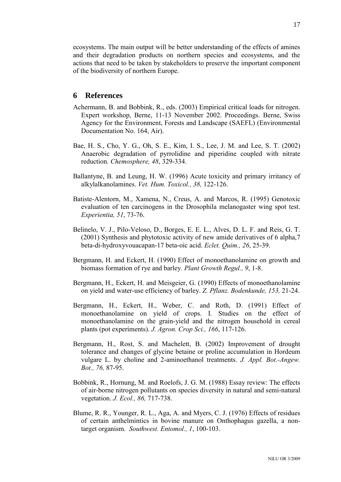ecosystems. The main output will be better understanding of the effects of amines and their degradation products on northern species and ecosystems, and the actions that need to be taken by stakeholders to preserve the important component of the biodiversity of northern Europe.

# <span id="page-18-0"></span>**6 References**

- Achermann, B. and Bobbink, R., eds. (2003) Empirical critical loads for nitrogen. Expert workshop, Berne, 11-13 November 2002. Proceedings. Berne, Swiss Agency for the Environment, Forests and Landscape (SAEFL) (Environmental Documentation No. 164, Air).
- Bae, H. S., Cho, Y. G., Oh, S. E., Kim, I. S., Lee, J. M. and Lee, S. T. (2002) Anaerobic degradation of pyrrolidine and piperidine coupled with nitrate reduction*. Chemosphere, 48*, 329-334.
- Ballantyne, B. and Leung, H. W. (1996) Acute toxicity and primary irritancy of alkylalkanolamines. *Vet. Hum. Toxicol., 38,* 122-126.
- Batiste-Alentorn, M., Xamena, N., Creus, A. and Marcos, R. (1995) Genotoxic evaluation of ten carcinogens in the Drosophila melanogaster wing spot test. *Experientia, 51*, 73-76.
- Belinelo, V. J., Pilo-Veloso, D., Borges, E. E. L., Alves, D. L. F. and Reis, G. T. (2001) Synthesis and phytotoxic activity of new amide derivatives of 6 alpha,7 beta-di-hydroxyvouacapan-17 beta-oic acid. *Eclet. Quim., 26*, 25-39.
- Bergmann, H. and Eckert, H. (1990) Effect of monoethanolamine on growth and biomass formation of rye and barley*. Plant Growth Regul., 9*, 1-8.
- Bergmann, H., Eckert, H. and Meisgeier, G. (1990) Effects of monoethanolamine on yield and water-use efficiency of barley. *Z. Pflanz. Bodenkunde, 153,* 21-24.
- Bergmann, H., Eckert, H., Weber, C. and Roth, D. (1991) Effect of monoethanolamine on yield of crops. I. Studies on the effect of monoethanolamine on the grain-yield and the nitrogen household in cereal plants (pot experiments). *J. Agron. Crop Sci., 166*, 117-126.
- Bergmann, H., Rost, S. and Machelett, B. (2002) Improvement of drought tolerance and changes of glycine betaine or proline accumulation in Hordeum vulgare L. by choline and 2-aminoethanol treatments. *J. Appl. Bot.-Angew. Bot., 76,* 87-95.
- Bobbink, R., Hornung, M. and Roelofs, J. G. M. (1988) Essay review: The effects of air-borne nitrogen pollutants on species diversity in natural and semi-natural vegetation. *J. Ecol., 86,* 717-738.
- Blume, R. R., Younger, R. L., Aga, A. and Myers, C. J. (1976) Effects of residues of certain anthelmintics in bovine manure on Onthophagus gazella, a nontarget organism. *Southwest. Entomol., 1*, 100-103.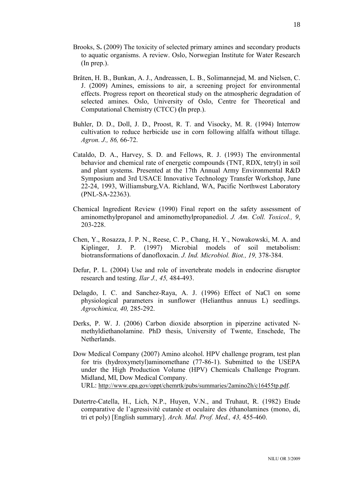- Brooks, S**.** (2009) The toxicity of selected primary amines and secondary products to aquatic organisms. A review. Oslo, Norwegian Institute for Water Research (In prep.).
- Bråten, H. B., Bunkan, A. J., Andreassen, L. B., Solimannejad, M. and Nielsen, C. J. (2009) Amines, emissions to air, a screening project for environmental effects. Progress report on theoretical study on the atmospheric degradation of selected amines. Oslo, University of Oslo, Centre for Theoretical and Computational Chemistry (CTCC) **(**In prep.).
- Buhler, D. D., Doll, J. D., Proost, R. T. and Visocky, M. R. (1994) Interrow cultivation to reduce herbicide use in corn following alfalfa without tillage. *Agron. J., 86,* 66-72.
- Cataldo, D. A., Harvey, S. D. and Fellows, R. J. (1993) The environmental behavior and chemical rate of energetic compounds (TNT, RDX, tetryl) in soil and plant systems. Presented at the 17th Annual Army Environmental R&D Symposium and 3rd USACE Innovative Technology Transfer Workshop, June 22-24, 1993, Williamsburg,VA. Richland, WA, Pacific Northwest Laboratory (PNL-SA-22363).
- Chemical Ingredient Review (1990) Final report on the safety assessment of aminomethylpropanol and aminomethylpropanediol. *J. Am. Coll. Toxicol., 9*, 203-228.
- Chen, Y., Rosazza, J. P. N., Reese, C. P., Chang, H. Y., Nowakowski, M. A. and Kiplinger, J. P. (1997) Microbial models of soil metabolism: biotransformations of danofloxacin. *J. Ind. Microbiol. Biot., 19,* 378-384.
- Defur, P. L. (2004) Use and role of invertebrate models in endocrine disruptor research and testing. *Ilar J., 45,* 484-493.
- Delagdo, I. C. and Sanchez-Raya, A. J. (1996) Effect of NaCl on some physiological parameters in sunflower (Helianthus annuus L) seedlings. *Agrochimica, 40,* 285-292.
- Derks, P. W. J. (2006) Carbon dioxide absorption in piperzine activated Nmethyldiethanolamine. PhD thesis, University of Twente, Enschede, The Netherlands.
- Dow Medical Company (2007) Amino alcohol. HPV challenge program, test plan for tris (hydroxymetyl)aminomethane (77-86-1). Submitted to the USEPA under the High Production Volume (HPV) Chemicals Challenge Program. Midland, MI, Dow Medical Company. URL: [http://www.epa.gov/oppt/chemrtk/pubs/summaries/2amino2h/c16455tp.pdf.](http://www.epa.gov/oppt/chemrtk/pubs/summaries/2amino2h/c16455tp.pdf)
- Dutertre-Catella, H., Lich, N.P., Huyen, V.N., and Truhaut, R. (1982) Etude comparative de l'agressivité cutanée et oculaire des éthanolamines (mono, di, tri et poly) [English summary]. *Arch. Mal. Prof. Med., 43,* 455-460.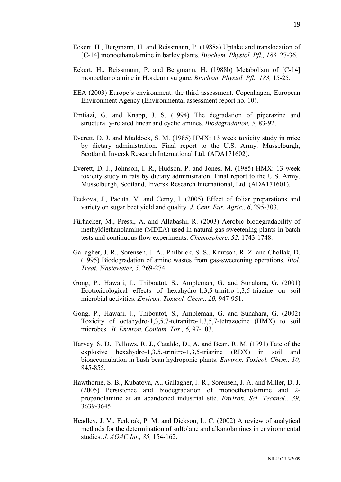- Eckert, H., Bergmann, H. and Reissmann, P. (1988a) Uptake and translocation of [C-14] monoethanolamine in barley plants. *Biochem. Physiol. Pfl., 183,* 27-36.
- Eckert, H., Reissmann, P. and Bergmann, H. (1988b) Metabolism of [C-14] monoethanolamine in Hordeum vulgare. *Biochem. Physiol. Pfl., 183,* 15-25.
- EEA (2003) Europe's environment: the third assessment. Copenhagen, European Environment Agency (Environmental assessment report no. 10).
- Emtiazi, G. and Knapp, J. S. (1994) The degradation of piperazine and structurally-related linear and cyclic amines. *Biodegradation, 5*, 83-92.
- Everett, D. J. and Maddock, S. M. (1985) HMX: 13 week toxicity study in mice by dietary administration. Final report to the U.S. Army. Musselburgh, Scotland, Inversk Research International Ltd. (ADA171602).
- Everett, D. J., Johnson, I. R., Hudson, P. and Jones, M. (1985) HMX: 13 week toxicity study in rats by dietary administraton. Final report to the U.S. Army. Musselburgh, Scotland, Inversk Research International, Ltd. (ADA171601).
- Feckova, J., Pacuta, V. and Cerny, I. (2005) Effect of foliar preparations and variety on sugar beet yield and quality. *J. Cent. Eur. Agric., 6*, 295-303.
- Fürhacker, M., Pressl, A. and Allabashi, R. (2003) Aerobic biodegradability of methyldiethanolamine (MDEA) used in natural gas sweetening plants in batch tests and continuous flow experiments. *Chemosphere, 52,* 1743-1748.
- Gallagher, J. R., Sorensen, J. A., Philbrick, S. S., Knutson, R. Z. and Chollak, D. (1995) Biodegradation of amine wastes from gas-sweetening operations. *Biol. Treat. Wastewater, 5,* 269-274.
- Gong, P., Hawari, J., Thiboutot, S., Ampleman, G. and Sunahara, G. (2001) Ecotoxicological effects of hexahydro-1,3,5-trinitro-1,3,5-triazine on soil microbial activities. *Environ. Toxicol. Chem., 20,* 947-951.
- Gong, P., Hawari, J., Thiboutot, S., Ampleman, G. and Sunahara, G. (2002) Toxicity of octahydro-1,3,5,7-tetranitro-1,3,5,7-tetrazocine (HMX) to soil microbes. *B. Environ. Contam. Tox., 6,* 97-103.
- Harvey, S. D., Fellows, R. J., Cataldo, D., A. and Bean, R. M. (1991) Fate of the explosive hexahydro-1,3,5,-trinitro-1,3,5-triazine (RDX) in soil and bioaccumulation in bush bean hydroponic plants. *Environ. Toxicol. Chem., 10,* 845-855.
- Hawthorne, S. B., Kubatova, A., Gallagher, J. R., Sorensen, J. A. and Miller, D. J. (2005) Persistence and biodegradation of monoethanolamine and 2 propanolamine at an abandoned industrial site. *Environ. Sci. Technol., 39,* 3639-3645.
- Headley, J. V., Fedorak, P. M. and Dickson, L. C. (2002) A review of analytical methods for the determination of sulfolane and alkanolamines in environmental studies. *J. AOAC Int., 85,* 154-162.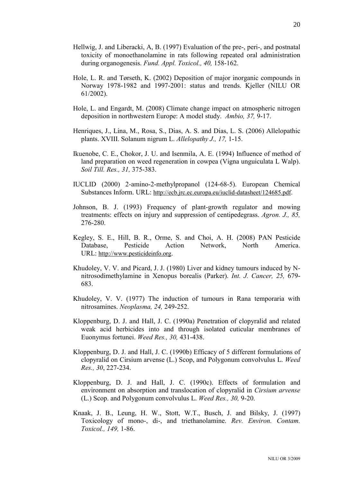- Hellwig, J. and Liberacki, A, B. (1997) Evaluation of the pre-, peri-, and postnatal toxicity of monoethanolamine in rats following repeated oral administration during organogenesis. *Fund. Appl. Toxicol., 40,* 158-162.
- Hole, L. R. and Tørseth, K. (2002) Deposition of major inorganic compounds in Norway 1978-1982 and 1997-2001: status and trends. Kjeller (NILU OR 61/2002).
- Hole, L. and Engardt, M. (2008) Climate change impact on atmospheric nitrogen deposition in northwestern Europe: A model study. *Ambio, 37,* 9-17.
- Henriques, J., Lina, M., Rosa, S., Dias, A. S. and Dias, L. S. (2006) Allelopathic plants. XVIII. Solanum nigrum L. *Allelopathy J., 17,* 1-15.
- Ikuenobe, C. E., Chokor, J. U. and Isenmila, A. E. (1994) Influence of method of land preparation on weed regeneration in cowpea (Vigna unguiculata L Walp). *Soil Till. Res., 31,* 375-383.
- IUCLID (2000) 2-amino-2-methylpropanol (124-68-5). European Chemical Substances Inform. URL: [http://ecb.jrc.ec.europa.eu/iuclid-datasheet/124685.pdf.](http://ecb.jrc.ec.europa.eu/iuclid-datasheet/124685.pdf)
- Johnson, B. J. (1993) Frequency of plant-growth regulator and mowing treatments: effects on injury and suppression of centipedegrass. *Agron. J., 85,* 276-280.
- Kegley, S. E., Hill, B. R., Orme, S. and Choi, A. H. (2008) PAN Pesticide Database, Pesticide Action Network, North America. URL: [http://www.pesticideinfo.org](http://www.pesticideinfo.org/).
- Khudoley, V. V. and Picard, J. J. (1980) Liver and kidney tumours induced by Nnitrosodimethylamine in Xenopus borealis (Parker). *Int. J. Cancer, 25,* 679- 683.
- Khudoley, V. V. (1977) The induction of tumours in Rana temporaria with nitrosamines. *Neoplasma, 24,* 249-252.
- Kloppenburg, D. J. and Hall, J. C. (1990a) Penetration of clopyralid and related weak acid herbicides into and through isolated cuticular membranes of Euonymus fortunei. *Weed Res., 30,* 431-438.
- Kloppenburg, D. J. and Hall, J. C. (1990b) Efficacy of 5 different formulations of clopyralid on Cirsium arvense (L.) Scop, and Polygonum convolvulus L. *Weed Res., 30*, 227-234.
- Kloppenburg, D. J. and Hall, J. C. (1990c). Effects of formulation and environment on absorption and translocation of clopyralid in *Cirsium arvense* (L.) Scop. and Polygonum convolvulus L. *Weed Res., 30,* 9-20.
- Knaak, J. B., Leung, H. W., Stott, W.T., Busch, J. and Bilsky, J. (1997) Toxicology of mono-, di-, and triethanolamine. *Rev. Environ. Contam. Toxicol., 149,* 1-86.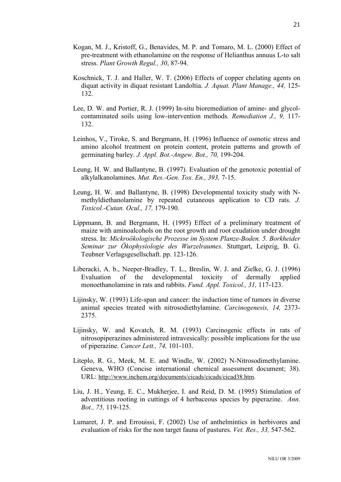- Kogan, M. J., Kristoff, G., Benavides, M. P. and Tomaro, M. L. (2000) Effect of pre-treatment with ethanolamine on the response of Helianthus annuus L-to salt stress. *Plant Growth Regul., 30*, 87-94.
- Koschnick, T. J. and Haller, W. T. (2006) Effects of copper chelating agents on diquat activity in diquat resistant Landoltia. *J. Aquat. Plant Manage., 44,* 125- 132.
- Lee, D. W. and Portier, R. J. (1999) In-situ bioremediation of amine- and glycolcontaminated soils using low-intervention methods. *Remediation J., 9,* 117- 132.
- Leinhos, V., Tiroke, S. and Bergmann, H. (1996) Influence of osmotic stress and amino alcohol treatment on protein content, protein patterns and growth of germinating barley. *J. Appl. Bot.-Angew. Bot., 70,* 199-204.
- Leung, H. W. and Ballantyne, B. (1997). Evaluation of the genotoxic potential of alkylalkanolamines. *Mut. Res.-Gen. Tox. En., 393,* 7-15.
- Leung, H. W. and Ballantyne, B. (1998) Developmental toxicity study with Nmethyldiethanolamine by repeated cutaneous application to CD rats. *J. Toxicol.-Cutan. Ocul., 17,* 179-190.
- Lippmann, B. and Bergmann, H. (1995) Effect of a preliminary treatment of maize with aminoalcohols on the root growth and root exudation under drought stress. In: *Mickroökologische Prozesse im System Planze-Boden. 5. Borkheider Seminar zur Ökophysiologie des Wurzelraumes*. Stuttgart, Leipzig, B. G. Teubner Verlagsgesellschaft. pp. 123-126.
- Liberacki, A. b., Neeper-Bradley, T. L., Breslin, W. J. and Zielke, G. J. (1996) Evaluation of the developmental toxicity of dermally applied monoethanolamine in rats and rabbits. *Fund. Appl. Toxicol., 31,* 117-123.
- Lijinsky, W. (1993) Life-span and cancer: the induction time of tumors in diverse animal species treated with nitrosodiethylamine. *Carcinogenesis, 14,* 2373- 2375.
- Lijinsky, W. and Kovatch, R. M. (1993) Carcinogenic effects in rats of nitrosopiperazines administered intravesically: possible implications for the use of piperazine. *Cancer Lett., 74,* 101-103.
- Liteplo, R. G., Meek, M. E. and Windle, W. (2002) N-Nitrosodimethylamine. Geneva, WHO (Concise international chemical assessment document; 38). URL: <http://www.inchem.org/documents/cicads/cicads/cicad38.htm>.
- Liu, J. H., Yeung, E. C., Mukherjee, I. and Reid, D. M. (1995) Stimulation of adventitious rooting in cuttings of 4 herbaceous species by piperazine. *Ann. Bot., 75,* 119-125.
- Lumaret, J. P. and Errouissi, F. (2002) Use of anthelmintics in herbivores and evaluation of risks for the non target fauna of pastures. *Vet. Res., 33,* 547-562.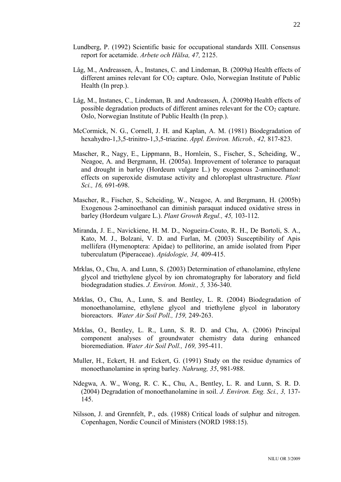- Lundberg, P. (1992) Scientific basic for occupational standards XIII. Consensus report for acetamide. *Arbete och Hälsa, 47,* 2125.
- Låg, M., Andreassen, Å., Instanes, C. and Lindeman, B. (2009a**)** Health effects of different amines relevant for  $CO<sub>2</sub>$  capture. Oslo, Norwegian Institute of Public Health (In prep.).
- Låg, M., Instanes, C., Lindeman, B. and Andreassen, Å. (2009b**)** Health effects of possible degradation products of different amines relevant for the  $CO<sub>2</sub>$  capture. Oslo, Norwegian Institute of Public Health (In prep.).
- McCormick, N. G., Cornell, J. H. and Kaplan, A. M. (1981) Biodegradation of hexahydro-1,3,5-trinitro-1,3,5-triazine. *Appl. Environ. Microb., 42,* 817-823.
- Mascher, R., Nagy, E., Lippmann, B., Hornlein, S., Fischer, S., Scheiding, W., Neagoe, A. and Bergmann, H. (2005a). Improvement of tolerance to paraquat and drought in barley (Hordeum vulgare L.) by exogenous 2-aminoethanol: effects on superoxide dismutase activity and chloroplast ultrastructure. *Plant Sci., 16,* 691-698.
- Mascher, R., Fischer, S., Scheiding, W., Neagoe, A. and Bergmann, H. (2005b) Exogenous 2-aminoethanol can diminish paraquat induced oxidative stress in barley (Hordeum vulgare L.). *Plant Growth Regul., 45,* 103-112.
- Miranda, J. E., Navickiene, H. M. D., Nogueira-Couto, R. H., De Bortoli, S. A., Kato, M. J., Bolzani, V. D. and Furlan, M. (2003) Susceptibility of Apis mellifera (Hymenoptera: Apidae) to pellitorine, an amide isolated from Piper tuberculatum (Piperaceae). *Apidologie, 34,* 409-415.
- Mrklas, O., Chu, A. and Lunn, S. (2003) Determination of ethanolamine, ethylene glycol and triethylene glycol by ion chromatography for laboratory and field biodegradation studies. *J. Environ. Monit., 5,* 336-340.
- Mrklas, O., Chu, A., Lunn, S. and Bentley, L. R. (2004) Biodegradation of monoethanolamine, ethylene glycol and triethylene glycol in laboratory bioreactors. *Water Air Soil Poll., 159,* 249-263.
- Mrklas, O., Bentley, L. R., Lunn, S. R. D. and Chu, A. (2006) Principal component analyses of groundwater chemistry data during enhanced bioremediation. *Water Air Soil Poll., 169,* 395-411.
- Muller, H., Eckert, H. and Eckert, G. (1991) Study on the residue dynamics of monoethanolamine in spring barley. *Nahrung, 35*, 981-988.
- Ndegwa, A. W., Wong, R. C. K., Chu, A., Bentley, L. R. and Lunn, S. R. D. (2004) Degradation of monoethanolamine in soil. *J. Environ. Eng. Sci., 3,* 137- 145.
- Nilsson, J. and Grennfelt, P., eds. (1988) Critical loads of sulphur and nitrogen. Copenhagen, Nordic Council of Ministers (NORD 1988:15).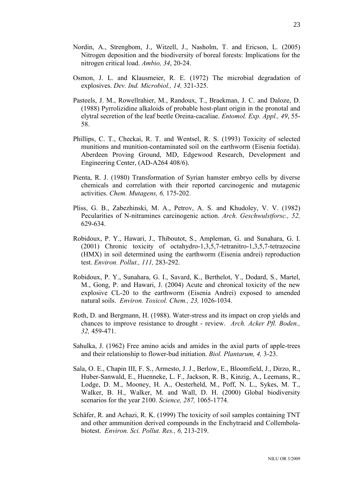- Nordin, A., Strengbom, J., Witzell, J., Nasholm, T. and Ericson, L. (2005) Nitrogen deposition and the biodiversity of boreal forests: Implications for the nitrogen critical load. *Ambio, 34*, 20-24.
- Osmon, J. L. and Klausmeier, R. E. (1972) The microbial degradation of explosives. *Dev. Ind. Microbiol., 14,* 321-325.
- Pasteels, J. M., Rowellrahier, M., Randoux, T., Braekman, J. C. and Daloze, D. (1988) Pyrrolizidine alkaloids of probable host-plant origin in the pronotal and elytral secretion of the leaf beetle Oreina-cacaliae. *Entomol. Exp. Appl., 49*, 55- 58.
- Phillips, C. T., Checkai, R. T. and Wentsel, R. S. (1993) Toxicity of selected munitions and munition-contaminated soil on the earthworm (Eisenia foetida). Aberdeen Proving Ground, MD, Edgewood Research, Development and Engineering Center, (AD-A264 408/6).
- Pienta, R. J. (1980) Transformation of Syrian hamster embryo cells by diverse chemicals and correlation with their reported carcinogenic and mutagenic activities. *Chem. Mutagens, 6,* 175-202.
- Pliss, G. B., Zabezhinski, M. A., Petrov, A. S. and Khudoley, V. V. (1982) Pecularities of N-nitramines carcinogenic action. *Arch. Geschwulstforsc., 52,* 629-634.
- Robidoux, P. Y., Hawari, J., Thiboutot, S., Ampleman, G. and Sunahara, G. I. (2001) Chronic toxicity of octahydro-1,3,5,7-tetranitro-1,3,5,7-tetrazocine (HMX) in soil determined using the earthworm (Eisenia andrei) reproduction test. *Environ. Pollut., 111,* 283-292.
- Robidoux, P. Y., Sunahara, G. I., Savard, K., Berthelot, Y., Dodard, S., Martel, M., Gong, P. and Hawari, J. (2004) Acute and chronical toxicity of the new explosive CL-20 to the earthworm (Eisenia Andrei) exposed to amended natural soils. *Environ. Toxicol. Chem., 23,* 1026-1034.
- Roth, D. and Bergmann, H. (1988). Water-stress and its impact on crop yields and chances to improve resistance to drought - review. *Arch. Acker Pfl. Boden., 32,* 459-471.
- Sahulka, J. (1962) Free amino acids and amides in the axial parts of apple-trees and their relationship to flower-bud initiation. *Biol. Plantarum, 4,* 3-23.
- Sala, O. E., Chapin III, F. S., Armesto, J. J., Berlow, E., Bloomfield, J., Dirzo, R., Huber-Sanwald, E., Huenneke, L. F., Jackson, R. B., Kinzig, A., Leemans, R., Lodge, D. M., Mooney, H. A., Oesterheld, M., Poff, N. L., Sykes, M. T., Walker, B. H., Walker, M. and Wall, D. H. (2000) Global biodiversity scenarios for the year 2100. *Science, 287,* 1065-1774.
- Schäfer, R. and Achazi, R. K. (1999) The toxicity of soil samples containing TNT and other ammunition derived compounds in the Enchytraeid and Collembolabiotest. *Environ. Sci. Pollut. Res., 6,* 213-219.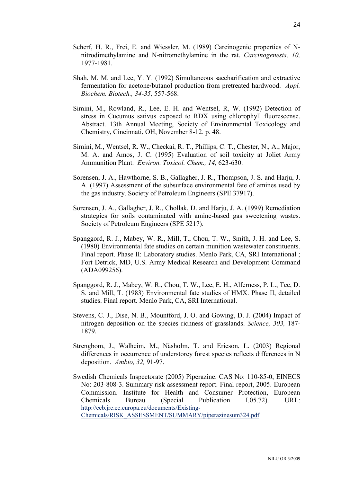- Scherf, H. R., Frei, E. and Wiessler, M. (1989) Carcinogenic properties of Nnitrodimethylamine and N-nitromethylamine in the rat. *Carcinogenesis, 10,* 1977-1981.
- Shah, M. M. and Lee, Y. Y. (1992) Simultaneous saccharification and extractive fermentation for acetone/butanol production from pretreated hardwood. *Appl. Biochem. Biotech., 34-35,* 557-568.
- Simini, M., Rowland, R., Lee, E. H. and Wentsel, R, W. (1992) Detection of stress in Cucumus sativus exposed to RDX using chlorophyll fluorescense. Abstract. 13th Annual Meeting, Society of Environmental Toxicology and Chemistry, Cincinnati, OH, November 8-12. p. 48.
- Simini, M., Wentsel, R. W., Checkai, R. T., Phillips, C. T., Chester, N., A., Major, M. A. and Amos, J. C. (1995) Evaluation of soil toxicity at Joliet Army Ammunition Plant. *Environ. Toxicol. Chem., 14,* 623-630.
- Sorensen, J. A., Hawthorne, S. B., Gallagher, J. R., Thompson, J. S. and Harju, J. A. (1997) Assessment of the subsurface environmental fate of amines used by the gas industry. Society of Petroleum Engineers (SPE 37917).
- Sorensen, J. A., Gallagher, J. R., Chollak, D. and Harju, J. A. (1999) Remediation strategies for soils contaminated with amine-based gas sweetening wastes. Society of Petroleum Engineers (SPE 5217).
- Spanggord, R. J., Mabey, W. R., Mill, T., Chou, T. W., Smith, J. H. and Lee, S. (1980) Environmental fate studies on certain munition wastewater constituents. Final report. Phase II: Laboratory studies. Menlo Park, CA, SRI International ; Fort Detrick, MD, U.S. Army Medical Research and Development Command (ADA099256).
- Spanggord, R. J., Mabey, W. R., Chou, T. W., Lee, E. H., Alferness, P. L., Tee, D. S. and Mill, T. (1983) Environmental fate studies of HMX. Phase II, detailed studies. Final report. Menlo Park, CA, SRI International.
- Stevens, C. J., Dise, N. B., Mountford, J. O. and Gowing, D. J. (2004) Impact of nitrogen deposition on the species richness of grasslands. *Science, 303,* 187- 1879.
- Strengbom, J., Walheim, M., Näsholm, T. and Ericson, L. (2003) Regional differences in occurrence of understorey forest species reflects differences in N deposition. *Ambio, 32,* 91-97.
- Swedish Chemicals Inspectorate (2005) Piperazine. CAS No: 110-85-0, EINECS No: 203-808-3. Summary risk assessment report. Final report, 2005. European Commission. Institute for Health and Consumer Protection, European Chemicals Bureau (Special Publication I.05.72). URL: [http://ecb.jrc.ec.europa.eu/documents/Existing-](http://ecb.jrc.ec.europa.eu/documents/Existing-Chemicals/RISK_ASSESSMENT/SUMMARY/piperazinesum324.pdf)[Chemicals/RISK\\_ASSESSMENT/SUMMARY/piperazinesum324.pdf](http://ecb.jrc.ec.europa.eu/documents/Existing-Chemicals/RISK_ASSESSMENT/SUMMARY/piperazinesum324.pdf)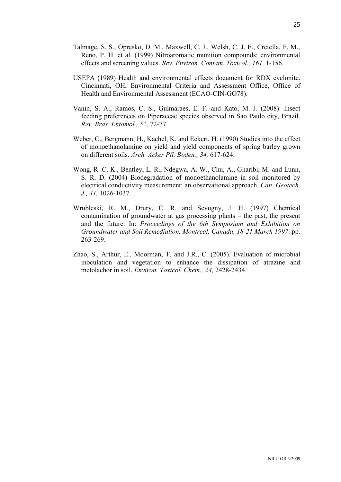- Talmage, S. S., Opresko, D. M., Maxwell, C. J., Welsh, C. J. E., Cretella, F. M., Reno, P. H. et al. (1999) Nitroaromatic munition compounds: environmental effects and screening values. *Rev. Environ. Contam. Toxicol., 161,* 1-156.
- USEPA (1989) Health and environmental effects document for RDX cyclonite. Cincinnati, OH, Environmental Criteria and Assessment Office, Office of Health and Environmental Assessment (ECAO-CIN-GO78).
- Vanin, S. A., Ramos, C. S., Gulmaraes, E. F. and Kato, M. J. (2008). Insect feeding preferences on Piperaceae species observed in Sao Paulo city, Brazil. *Rev. Bras. Entomol., 52,* 72-77.
- Weber, C., Bergmann, H., Kachel, K. and Eckert, H. (1990) Studies into the effect of monoethanolamine on yield and yield components of spring barley grown on different soils. *Arch. Acker Pfl. Boden., 34,* 617-624.
- Wong, R. C. K., Bentley, L. R., Ndegwa, A. W., Chu, A., Gharibi, M. and Lunn, S. R. D. (2004) Biodegradation of monoethanolamine in soil monitored by electrical conductivity measurement: an observational approach. *Can. Geotech. J., 41,* 1026-1037.
- Wrubleski, R. M., Drury, C. R. and Sevugny, J. H. (1997) Chemical contamination of groundwater at gas processing plants – the past, the present and the future. In: *Proceedings of the 6th Symposium and Exhibition on Groundwater and Soil Remediation, Montreal, Canada, 18-21 March 1997*. pp. 263-269.
- Zhao, S., Arthur, E., Moorman, T. and J.R., C. (2005). Evaluation of microbial inoculation and vegetation to enhance the dissipation of atrazine and metolachor in soil. *Environ. Toxicol. Chem., 24,* 2428-2434.